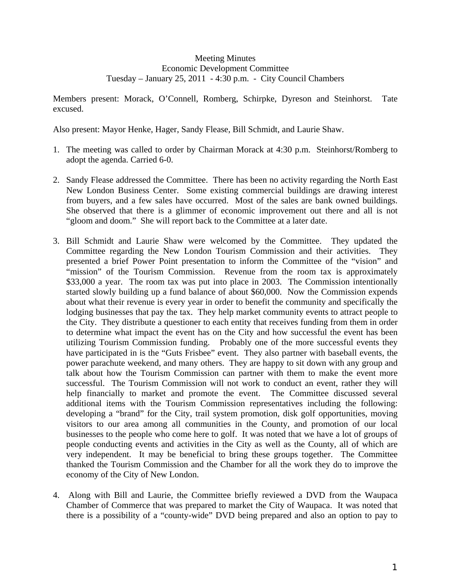## Meeting Minutes Economic Development Committee Tuesday – January 25, 2011 - 4:30 p.m. - City Council Chambers

Members present: Morack, O'Connell, Romberg, Schirpke, Dyreson and Steinhorst. Tate excused.

Also present: Mayor Henke, Hager, Sandy Flease, Bill Schmidt, and Laurie Shaw.

- 1. The meeting was called to order by Chairman Morack at 4:30 p.m. Steinhorst/Romberg to adopt the agenda. Carried 6-0.
- 2. Sandy Flease addressed the Committee. There has been no activity regarding the North East New London Business Center. Some existing commercial buildings are drawing interest from buyers, and a few sales have occurred. Most of the sales are bank owned buildings. She observed that there is a glimmer of economic improvement out there and all is not "gloom and doom." She will report back to the Committee at a later date.
- 3. Bill Schmidt and Laurie Shaw were welcomed by the Committee. They updated the Committee regarding the New London Tourism Commission and their activities. They presented a brief Power Point presentation to inform the Committee of the "vision" and "mission" of the Tourism Commission. Revenue from the room tax is approximately \$33,000 a year. The room tax was put into place in 2003. The Commission intentionally started slowly building up a fund balance of about \$60,000. Now the Commission expends about what their revenue is every year in order to benefit the community and specifically the lodging businesses that pay the tax. They help market community events to attract people to the City. They distribute a questioner to each entity that receives funding from them in order to determine what impact the event has on the City and how successful the event has been utilizing Tourism Commission funding. Probably one of the more successful events they have participated in is the "Guts Frisbee" event. They also partner with baseball events, the power parachute weekend, and many others. They are happy to sit down with any group and talk about how the Tourism Commission can partner with them to make the event more successful. The Tourism Commission will not work to conduct an event, rather they will help financially to market and promote the event. The Committee discussed several additional items with the Tourism Commission representatives including the following: developing a "brand" for the City, trail system promotion, disk golf opportunities, moving visitors to our area among all communities in the County, and promotion of our local businesses to the people who come here to golf. It was noted that we have a lot of groups of people conducting events and activities in the City as well as the County, all of which are very independent. It may be beneficial to bring these groups together. The Committee thanked the Tourism Commission and the Chamber for all the work they do to improve the economy of the City of New London.
- 4. Along with Bill and Laurie, the Committee briefly reviewed a DVD from the Waupaca Chamber of Commerce that was prepared to market the City of Waupaca. It was noted that there is a possibility of a "county-wide" DVD being prepared and also an option to pay to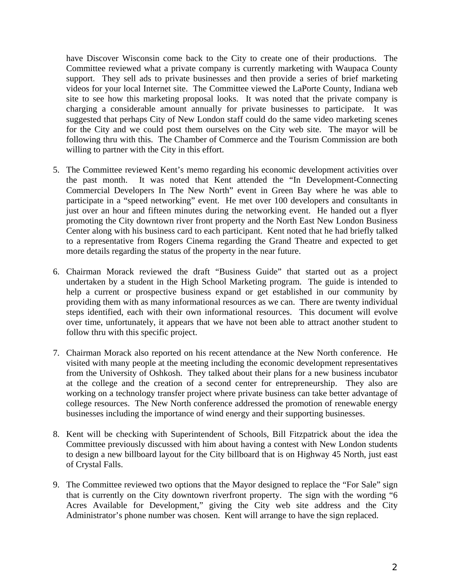have Discover Wisconsin come back to the City to create one of their productions. The Committee reviewed what a private company is currently marketing with Waupaca County support. They sell ads to private businesses and then provide a series of brief marketing videos for your local Internet site. The Committee viewed the LaPorte County, Indiana web site to see how this marketing proposal looks. It was noted that the private company is charging a considerable amount annually for private businesses to participate. It was suggested that perhaps City of New London staff could do the same video marketing scenes for the City and we could post them ourselves on the City web site. The mayor will be following thru with this. The Chamber of Commerce and the Tourism Commission are both willing to partner with the City in this effort.

- 5. The Committee reviewed Kent's memo regarding his economic development activities over the past month. It was noted that Kent attended the "In Development-Connecting Commercial Developers In The New North" event in Green Bay where he was able to participate in a "speed networking" event. He met over 100 developers and consultants in just over an hour and fifteen minutes during the networking event. He handed out a flyer promoting the City downtown river front property and the North East New London Business Center along with his business card to each participant. Kent noted that he had briefly talked to a representative from Rogers Cinema regarding the Grand Theatre and expected to get more details regarding the status of the property in the near future.
- 6. Chairman Morack reviewed the draft "Business Guide" that started out as a project undertaken by a student in the High School Marketing program. The guide is intended to help a current or prospective business expand or get established in our community by providing them with as many informational resources as we can. There are twenty individual steps identified, each with their own informational resources. This document will evolve over time, unfortunately, it appears that we have not been able to attract another student to follow thru with this specific project.
- 7. Chairman Morack also reported on his recent attendance at the New North conference. He visited with many people at the meeting including the economic development representatives from the University of Oshkosh. They talked about their plans for a new business incubator at the college and the creation of a second center for entrepreneurship. They also are working on a technology transfer project where private business can take better advantage of college resources. The New North conference addressed the promotion of renewable energy businesses including the importance of wind energy and their supporting businesses.
- 8. Kent will be checking with Superintendent of Schools, Bill Fitzpatrick about the idea the Committee previously discussed with him about having a contest with New London students to design a new billboard layout for the City billboard that is on Highway 45 North, just east of Crystal Falls.
- 9. The Committee reviewed two options that the Mayor designed to replace the "For Sale" sign that is currently on the City downtown riverfront property. The sign with the wording "6 Acres Available for Development," giving the City web site address and the City Administrator's phone number was chosen. Kent will arrange to have the sign replaced.